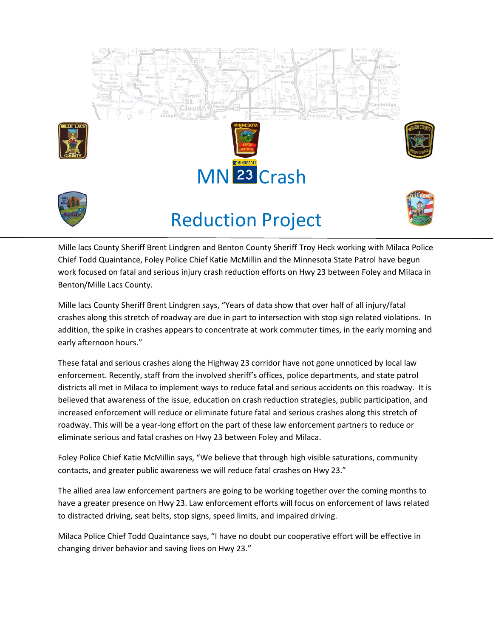



## Reduction Project



Mille lacs County Sheriff Brent Lindgren and Benton County Sheriff Troy Heck working with Milaca Police Chief Todd Quaintance, Foley Police Chief Katie McMillin and the Minnesota State Patrol have begun work focused on fatal and serious injury crash reduction efforts on Hwy 23 between Foley and Milaca in Benton/Mille Lacs County.

Mille lacs County Sheriff Brent Lindgren says, "Years of data show that over half of all injury/fatal crashes along this stretch of roadway are due in part to intersection with stop sign related violations. In addition, the spike in crashes appears to concentrate at work commuter times, in the early morning and early afternoon hours."

These fatal and serious crashes along the Highway 23 corridor have not gone unnoticed by local law enforcement. Recently, staff from the involved sheriff's offices, police departments, and state patrol districts all met in Milaca to implement ways to reduce fatal and serious accidents on this roadway. It is believed that awareness of the issue, education on crash reduction strategies, public participation, and increased enforcement will reduce or eliminate future fatal and serious crashes along this stretch of roadway. This will be a year-long effort on the part of these law enforcement partners to reduce or eliminate serious and fatal crashes on Hwy 23 between Foley and Milaca.

Foley Police Chief Katie McMillin says, "We believe that through high visible saturations, community contacts, and greater public awareness we will reduce fatal crashes on Hwy 23."

The allied area law enforcement partners are going to be working together over the coming months to have a greater presence on Hwy 23. Law enforcement efforts will focus on enforcement of laws related to distracted driving, seat belts, stop signs, speed limits, and impaired driving.

Milaca Police Chief Todd Quaintance says, "I have no doubt our cooperative effort will be effective in changing driver behavior and saving lives on Hwy 23."